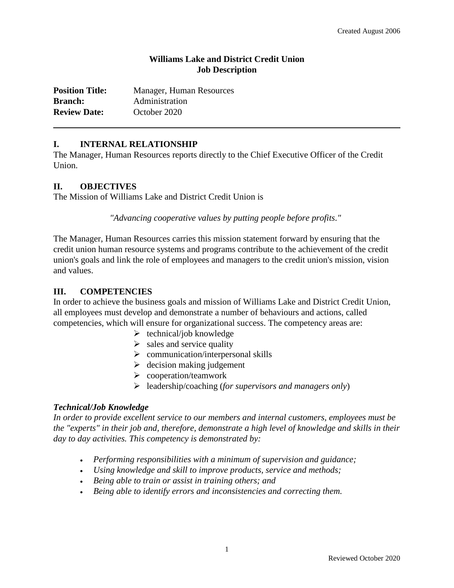### **Williams Lake and District Credit Union Job Description**

| <b>Position Title:</b> | Manager, Human Resources |
|------------------------|--------------------------|
| <b>Branch:</b>         | Administration           |
| <b>Review Date:</b>    | October 2020             |

#### **I. INTERNAL RELATIONSHIP**

The Manager, Human Resources reports directly to the Chief Executive Officer of the Credit Union.

#### **II. OBJECTIVES**

The Mission of Williams Lake and District Credit Union is

*"Advancing cooperative values by putting people before profits."*

The Manager, Human Resources carries this mission statement forward by ensuring that the credit union human resource systems and programs contribute to the achievement of the credit union's goals and link the role of employees and managers to the credit union's mission, vision and values.

#### **III. COMPETENCIES**

In order to achieve the business goals and mission of Williams Lake and District Credit Union, all employees must develop and demonstrate a number of behaviours and actions, called competencies, which will ensure for organizational success. The competency areas are:

- $\triangleright$  technical/job knowledge
- $\triangleright$  sales and service quality
- $\triangleright$  communication/interpersonal skills
- $\triangleright$  decision making judgement
- $\triangleright$  cooperation/teamwork
- leadership/coaching (*for supervisors and managers only*)

#### *Technical/Job Knowledge*

*In order to provide excellent service to our members and internal customers, employees must be the "experts" in their job and, therefore, demonstrate a high level of knowledge and skills in their day to day activities. This competency is demonstrated by:*

- *Performing responsibilities with a minimum of supervision and guidance;*
- *Using knowledge and skill to improve products, service and methods;*
- *Being able to train or assist in training others; and*
- *Being able to identify errors and inconsistencies and correcting them.*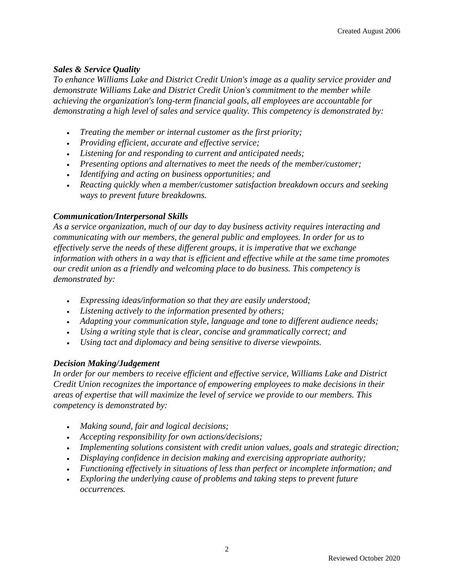### *Sales & Service Quality*

*To enhance Williams Lake and District Credit Union's image as a quality service provider and demonstrate Williams Lake and District Credit Union's commitment to the member while achieving the organization's long-term financial goals, all employees are accountable for demonstrating a high level of sales and service quality. This competency is demonstrated by:*

- *Treating the member or internal customer as the first priority;*
- *Providing efficient, accurate and effective service;*
- *Listening for and responding to current and anticipated needs;*
- *Presenting options and alternatives to meet the needs of the member/customer;*
- *Identifying and acting on business opportunities; and*
- *Reacting quickly when a member/customer satisfaction breakdown occurs and seeking ways to prevent future breakdowns.*

## *Communication/Interpersonal Skills*

*As a service organization, much of our day to day business activity requires interacting and communicating with our members, the general public and employees. In order for us to effectively serve the needs of these different groups, it is imperative that we exchange information with others in a way that is efficient and effective while at the same time promotes our credit union as a friendly and welcoming place to do business. This competency is demonstrated by:*

- *Expressing ideas/information so that they are easily understood;*
- *Listening actively to the information presented by others;*
- *Adapting your communication style, language and tone to different audience needs;*
- *Using a writing style that is clear, concise and grammatically correct; and*
- *Using tact and diplomacy and being sensitive to diverse viewpoints.*

# *Decision Making/Judgement*

*In order for our members to receive efficient and effective service, Williams Lake and District Credit Union recognizes the importance of empowering employees to make decisions in their areas of expertise that will maximize the level of service we provide to our members. This competency is demonstrated by:*

- *Making sound, fair and logical decisions;*
- *Accepting responsibility for own actions/decisions;*
- *Implementing solutions consistent with credit union values, goals and strategic direction;*
- *Displaying confidence in decision making and exercising appropriate authority;*
- *Functioning effectively in situations of less than perfect or incomplete information; and*
- *Exploring the underlying cause of problems and taking steps to prevent future occurrences.*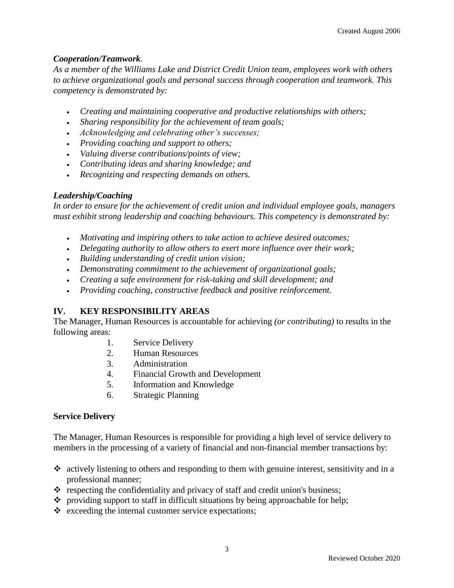## *Cooperation/Teamwork.*

*As a member of the Williams Lake and District Credit Union team, employees work with others to achieve organizational goals and personal success through cooperation and teamwork. This competency is demonstrated by:*

- *Creating and maintaining cooperative and productive relationships with others;*
- *Sharing responsibility for the achievement of team goals;*
- *Acknowledging and celebrating other's successes;*
- *Providing coaching and support to others;*
- *Valuing diverse contributions/points of view;*
- *Contributing ideas and sharing knowledge; and*
- *Recognizing and respecting demands on others.*

### *Leadership/Coaching*

*In order to ensure for the achievement of credit union and individual employee goals, managers must exhibit strong leadership and coaching behaviours. This competency is demonstrated by:*

- *Motivating and inspiring others to take action to achieve desired outcomes;*
- *Delegating authority to allow others to exert more influence over their work;*
- *Building understanding of credit union vision;*
- *Demonstrating commitment to the achievement of organizational goals;*
- *Creating a safe environment for risk-taking and skill development; and*
- *Providing coaching, constructive feedback and positive reinforcement.*

# **IV. KEY RESPONSIBILITY AREAS**

The Manager, Human Resources is accountable for achieving *(or contributing)* to results in the following areas:

- 1. Service Delivery
- 2. Human Resources
- 3. Administration
- 4. Financial Growth and Development
- 5. Information and Knowledge
- 6. Strategic Planning

### **Service Delivery**

The Manager, Human Resources is responsible for providing a high level of service delivery to members in the processing of a variety of financial and non-financial member transactions by:

- $\cdot$  actively listening to others and responding to them with genuine interest, sensitivity and in a professional manner;
- $\cdot$  respecting the confidentiality and privacy of staff and credit union's business;
- \* providing support to staff in difficult situations by being approachable for help;
- $\triangle$  exceeding the internal customer service expectations;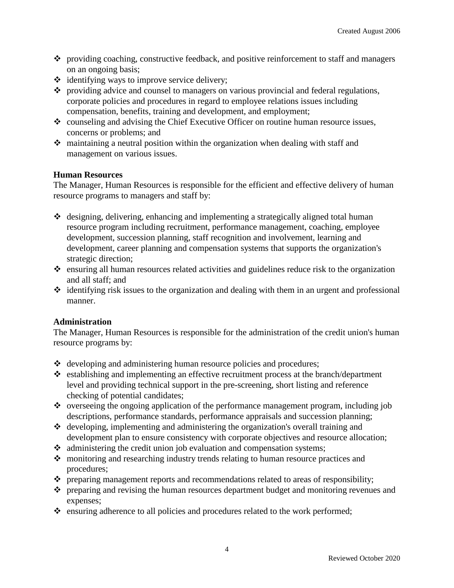- providing coaching, constructive feedback, and positive reinforcement to staff and managers on an ongoing basis;
- $\triangleleft$  identifying ways to improve service delivery;
- \* providing advice and counsel to managers on various provincial and federal regulations, corporate policies and procedures in regard to employee relations issues including compensation, benefits, training and development, and employment;
- counseling and advising the Chief Executive Officer on routine human resource issues, concerns or problems; and
- maintaining a neutral position within the organization when dealing with staff and management on various issues.

## **Human Resources**

The Manager, Human Resources is responsible for the efficient and effective delivery of human resource programs to managers and staff by:

- designing, delivering, enhancing and implementing a strategically aligned total human resource program including recruitment, performance management, coaching, employee development, succession planning, staff recognition and involvement, learning and development, career planning and compensation systems that supports the organization's strategic direction;
- \* ensuring all human resources related activities and guidelines reduce risk to the organization and all staff; and
- $\cdot$  identifying risk issues to the organization and dealing with them in an urgent and professional manner.

# **Administration**

The Manager, Human Resources is responsible for the administration of the credit union's human resource programs by:

- $\triangleleft$  developing and administering human resource policies and procedures;
- establishing and implementing an effective recruitment process at the branch/department level and providing technical support in the pre-screening, short listing and reference checking of potential candidates;
- overseeing the ongoing application of the performance management program, including job descriptions, performance standards, performance appraisals and succession planning;
- $\triangleleft$  developing, implementing and administering the organization's overall training and development plan to ensure consistency with corporate objectives and resource allocation;
- administering the credit union job evaluation and compensation systems;
- monitoring and researching industry trends relating to human resource practices and procedures;
- $\cdot \cdot$  preparing management reports and recommendations related to areas of responsibility;
- \* preparing and revising the human resources department budget and monitoring revenues and expenses;
- $\triangle$  ensuring adherence to all policies and procedures related to the work performed;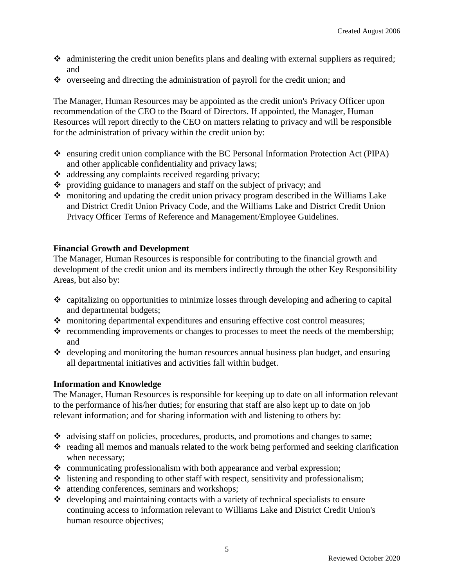- $\bullet$  administering the credit union benefits plans and dealing with external suppliers as required; and
- $\bullet$  overseeing and directing the administration of payroll for the credit union; and

The Manager, Human Resources may be appointed as the credit union's Privacy Officer upon recommendation of the CEO to the Board of Directors. If appointed, the Manager, Human Resources will report directly to the CEO on matters relating to privacy and will be responsible for the administration of privacy within the credit union by:

- ensuring credit union compliance with the BC Personal Information Protection Act (PIPA) and other applicable confidentiality and privacy laws;
- addressing any complaints received regarding privacy;
- providing guidance to managers and staff on the subject of privacy; and
- $\cdot$  monitoring and updating the credit union privacy program described in the Williams Lake and District Credit Union Privacy Code, and the Williams Lake and District Credit Union Privacy Officer Terms of Reference and Management/Employee Guidelines.

### **Financial Growth and Development**

The Manager, Human Resources is responsible for contributing to the financial growth and development of the credit union and its members indirectly through the other Key Responsibility Areas, but also by:

- $\div$  capitalizing on opportunities to minimize losses through developing and adhering to capital and departmental budgets;
- $\triangle$  monitoring departmental expenditures and ensuring effective cost control measures;
- $\cdot \cdot$  recommending improvements or changes to processes to meet the needs of the membership; and
- $\triangleleft$  developing and monitoring the human resources annual business plan budget, and ensuring all departmental initiatives and activities fall within budget.

### **Information and Knowledge**

The Manager, Human Resources is responsible for keeping up to date on all information relevant to the performance of his/her duties; for ensuring that staff are also kept up to date on job relevant information; and for sharing information with and listening to others by:

- advising staff on policies, procedures, products, and promotions and changes to same;
- $\cdot$  reading all memos and manuals related to the work being performed and seeking clarification when necessary;
- $\div$  communicating professionalism with both appearance and verbal expression;
- $\triangleleft$  listening and responding to other staff with respect, sensitivity and professionalism;
- attending conferences, seminars and workshops;
- $\triangleleft$  developing and maintaining contacts with a variety of technical specialists to ensure continuing access to information relevant to Williams Lake and District Credit Union's human resource objectives;